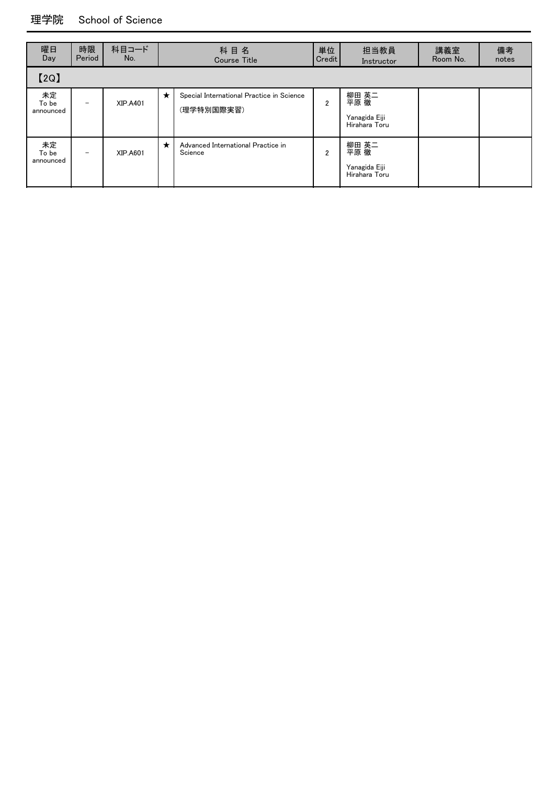#### 理学院 School of Science

| 曜日<br>Day                | 時限<br>Period             | 科目コード<br>No.    |   | 科目名<br><b>Course Title</b>                              | 単位<br>Credit   | 担当教員<br>Instructor                              | 講義室<br>Room No. | 備考<br>notes |
|--------------------------|--------------------------|-----------------|---|---------------------------------------------------------|----------------|-------------------------------------------------|-----------------|-------------|
| [2Q]                     |                          |                 |   |                                                         |                |                                                 |                 |             |
| 未定<br>To be<br>announced | $\overline{\phantom{0}}$ | <b>XIP.A401</b> | ★ | Special International Practice in Science<br>(理学特別国際実習) | $\overline{2}$ | 柳田 英二<br>平原 徹<br>Yanagida Eiji<br>Hirahara Toru |                 |             |
| 未定<br>To be<br>announced | $\qquad \qquad$          | XIP.A601        | ★ | Advanced International Practice in<br>Science           | $\overline{2}$ | 柳田 英二<br>平原 徹<br>Yanagida Eiji<br>Hirahara Toru |                 |             |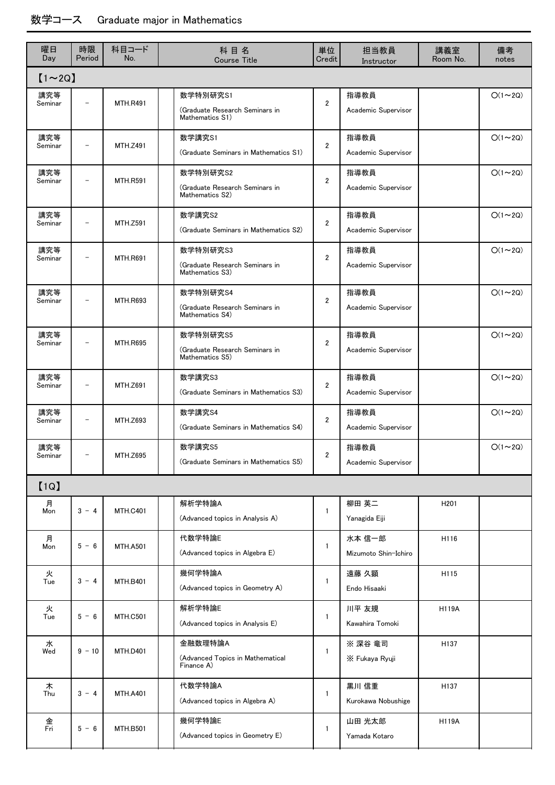### 数学コース Graduate major in Mathematics

| 曜日<br>Day      | 時限<br>Period             | 科目コード<br>No.    | 科目名<br><b>Course Title</b>                                    | 単位<br>Credit   | 担当教員<br>Instructor             | 講義室<br>Room No. | 備考<br>notes   |
|----------------|--------------------------|-----------------|---------------------------------------------------------------|----------------|--------------------------------|-----------------|---------------|
| $[1 \sim 2Q]$  |                          |                 |                                                               |                |                                |                 |               |
| 講究等<br>Seminar |                          | <b>MTH.R491</b> | 数学特別研究S1<br>(Graduate Research Seminars in<br>Mathematics S1) | $\overline{2}$ | 指導教員<br>Academic Supervisor    |                 | $O(1\sim 2Q)$ |
| 講究等<br>Seminar |                          | <b>MTH.Z491</b> | 数学講究S1<br>(Graduate Seminars in Mathematics S1)               | $\overline{2}$ | 指導教員<br>Academic Supervisor    |                 | $O(1\sim 2Q)$ |
| 講究等<br>Seminar |                          | <b>MTH.R591</b> | 数学特別研究S2<br>(Graduate Research Seminars in<br>Mathematics S2) | $\overline{2}$ | 指導教員<br>Academic Supervisor    |                 | $O(1\sim 2Q)$ |
| 講究等<br>Seminar |                          | <b>MTH.Z591</b> | 数学講究S2<br>(Graduate Seminars in Mathematics S2)               | $\overline{2}$ | 指導教員<br>Academic Supervisor    |                 | $O(1\sim 2Q)$ |
| 講究等<br>Seminar |                          | <b>MTH.R691</b> | 数学特別研究S3<br>(Graduate Research Seminars in<br>Mathematics S3) | $\overline{2}$ | 指導教員<br>Academic Supervisor    |                 | $O(1\sim 2Q)$ |
| 講究等<br>Seminar | $\overline{\phantom{0}}$ | <b>MTH.R693</b> | 数学特別研究S4<br>(Graduate Research Seminars in<br>Mathematics S4) | $\overline{2}$ | 指導教員<br>Academic Supervisor    |                 | $O(1\sim 2Q)$ |
| 講究等<br>Seminar |                          | <b>MTH.R695</b> | 数学特別研究S5<br>(Graduate Research Seminars in<br>Mathematics S5) | $\overline{2}$ | 指導教員<br>Academic Supervisor    |                 | $O(1\sim 2Q)$ |
| 講究等<br>Seminar |                          | <b>MTH.Z691</b> | 数学講究S3<br>(Graduate Seminars in Mathematics S3)               | $\overline{2}$ | 指導教員<br>Academic Supervisor    |                 | $O(1\sim 2Q)$ |
| 講究等<br>Seminar |                          | <b>MTH.Z693</b> | 数学講究S4<br>(Graduate Seminars in Mathematics S4)               | $\overline{2}$ | 指導教員<br>Academic Supervisor    |                 | $O(1\sim 2Q)$ |
| 講究等<br>Seminar |                          | MTH.Z695        | 数学講究S5<br>(Graduate Seminars in Mathematics S5)               | 2              | 指導教員<br>Academic Supervisor    |                 | $O(1\sim 2Q)$ |
| [1Q]           |                          |                 |                                                               |                |                                |                 |               |
| 月<br>Mon       | $3 - 4$                  | <b>MTH.C401</b> | 解析学特論A<br>(Advanced topics in Analysis A)                     | 1              | 柳田 英二<br>Yanagida Eiji         | H201            |               |
| 月<br>Mon       | $5 - 6$                  | <b>MTH.A501</b> | 代数学特論E<br>(Advanced topics in Algebra E)                      | 1              | 水本 信一郎<br>Mizumoto Shin-Ichiro | H116            |               |
| 火<br>Tue       | $3 - 4$                  | <b>MTH.B401</b> | 幾何学特論A<br>(Advanced topics in Geometry A)                     | $\mathbf{1}$   | 遠藤 久顕<br>Endo Hisaaki          | H115            |               |
| 火<br>Tue       | $5 - 6$                  | <b>MTH.C501</b> | 解析学特論E<br>(Advanced topics in Analysis E)                     | 1              | 川平 友規<br>Kawahira Tomoki       | <b>H119A</b>    |               |
| 水<br>Wed       | $9 - 10$                 | <b>MTH.D401</b> | 金融数理特論A<br>(Advanced Topics in Mathematical<br>Finance A)     | 1              | ※深谷 竜司<br>X Fukaya Ryuji       | H137            |               |
| 木<br>Thu       | $3 - 4$                  | <b>MTH.A401</b> | 代数学特論A<br>(Advanced topics in Algebra A)                      | 1              | 黒川 信重<br>Kurokawa Nobushige    | H137            |               |
| 金<br>Fri       | $5 - 6$                  | <b>MTH.B501</b> | 幾何学特論E<br>(Advanced topics in Geometry E)                     | 1              | 山田 光太郎<br>Yamada Kotaro        | <b>H119A</b>    |               |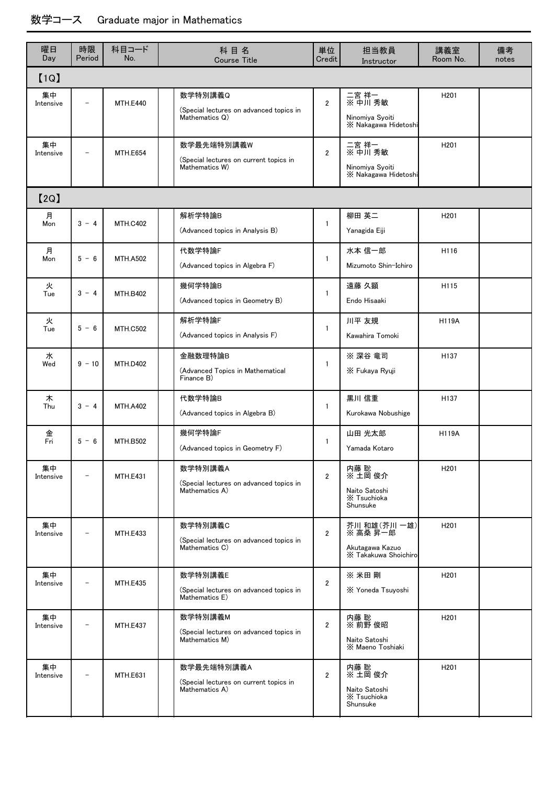### 数学コース Graduate major in Mathematics

| 曜日<br>Day       | 時限<br>Period             | 科目コード<br>No.    | 科目名<br><b>Course Title</b>                                             | 単位<br>Credit   | 担当教員<br>Instructor                                                  | 講義室<br>Room No.  | 備考<br>notes |
|-----------------|--------------------------|-----------------|------------------------------------------------------------------------|----------------|---------------------------------------------------------------------|------------------|-------------|
| [1Q]            |                          |                 |                                                                        |                |                                                                     |                  |             |
| 集中<br>Intensive | $\overline{\phantom{0}}$ | <b>MTH.E440</b> | 数学特別講義Q<br>(Special lectures on advanced topics in<br>Mathematics Q)   | $\overline{2}$ | 二宮 祥一<br>※ 中川 秀敏<br>Ninomiya Syoiti<br>X Nakagawa Hidetoshi         | H <sub>201</sub> |             |
| 集中<br>Intensive |                          | <b>MTH.E654</b> | 数学最先端特別講義W<br>(Special lectures on current topics in<br>Mathematics W) | $\overline{2}$ | 二宮 祥一<br>※ 中川 秀敏<br>Ninomiya Syoiti<br>X Nakagawa Hidetoshi         | H <sub>201</sub> |             |
| [2Q]            |                          |                 |                                                                        |                |                                                                     |                  |             |
| 月<br>Mon        | $3 - 4$                  | <b>MTH.C402</b> | 解析学特論B<br>(Advanced topics in Analysis B)                              | $\mathbf{1}$   | 柳田 英二<br>Yanagida Eiji                                              | H <sub>201</sub> |             |
| 月<br>Mon        | $5 - 6$                  | <b>MTH.A502</b> | 代数学特論F<br>(Advanced topics in Algebra F)                               | $\mathbf{1}$   | 水本 信一郎<br>Mizumoto Shin-Ichiro                                      | H116             |             |
| 火<br>Tue        | $3 - 4$                  | <b>MTH.B402</b> | 幾何学特論B<br>(Advanced topics in Geometry B)                              | $\mathbf{1}$   | 遠藤 久顕<br>Endo Hisaaki                                               | H115             |             |
| 火<br>Tue        | $5 - 6$                  | <b>MTH.C502</b> | 解析学特論F<br>(Advanced topics in Analysis F)                              | $\mathbf{1}$   | 川平 友規<br>Kawahira Tomoki                                            | <b>H119A</b>     |             |
| 水<br>Wed        | $9 - 10$                 | <b>MTH.D402</b> | 金融数理特論B<br>(Advanced Topics in Mathematical<br>Finance B)              | $\mathbf{1}$   | ※ 深谷 竜司<br>X Fukaya Ryuji                                           | H137             |             |
| 木<br>Thu        | $3 - 4$                  | <b>MTH.A402</b> | 代数学特論B<br>(Advanced topics in Algebra B)                               | 1              | 黒川 信重<br>Kurokawa Nobushige                                         | H <sub>137</sub> |             |
| 金<br>Fri        | $5 - 6$                  | <b>MTH.B502</b> | 幾何学特論F<br>(Advanced topics in Geometry F)                              | $\mathbf{1}$   | 山田 光太郎<br>Yamada Kotaro                                             | <b>H119A</b>     |             |
| 集中<br>Intensive |                          | <b>MTH.E431</b> | 数学特別講義A<br>(Special lectures on advanced topics in<br>Mathematics A)   | $\overline{2}$ | 内藤 聡<br>※ 土岡 俊介<br>Naito Satoshi<br>X Tsuchioka<br>Shunsuke         | H <sub>201</sub> |             |
| 集中<br>Intensive |                          | <b>MTH.E433</b> | 数学特別講義C<br>(Special lectures on advanced topics in<br>Mathematics C)   | $\overline{2}$ | 芥川 和雄(芥川一雄)<br>※ 高桑 昇一郎<br>Akutagawa Kazuo<br>X Takakuwa Shoichirol | H <sub>201</sub> |             |
| 集中<br>Intensive |                          | <b>MTH.E435</b> | 数学特別講義E<br>(Special lectures on advanced topics in<br>Mathematics E)   | $\overline{2}$ | ※ 米田 剛<br>X Yoneda Tsuyoshi                                         | H <sub>201</sub> |             |
| 集中<br>Intensive |                          | <b>MTH.E437</b> | 数学特別講義M<br>(Special lectures on advanced topics in<br>Mathematics M)   | $\overline{2}$ | 内藤 聡<br>※ 前野 俊昭<br>Naito Satoshi<br>X Maeno Toshiaki                | H <sub>201</sub> |             |
| 集中<br>Intensive |                          | <b>MTH.E631</b> | 数学最先端特別講義A<br>(Special lectures on current topics in<br>Mathematics A) | $\overline{2}$ | 内藤 聡<br>※ 土岡 俊介<br>Naito Satoshi<br>X Tsuchioka<br>Shunsuke         | H <sub>201</sub> |             |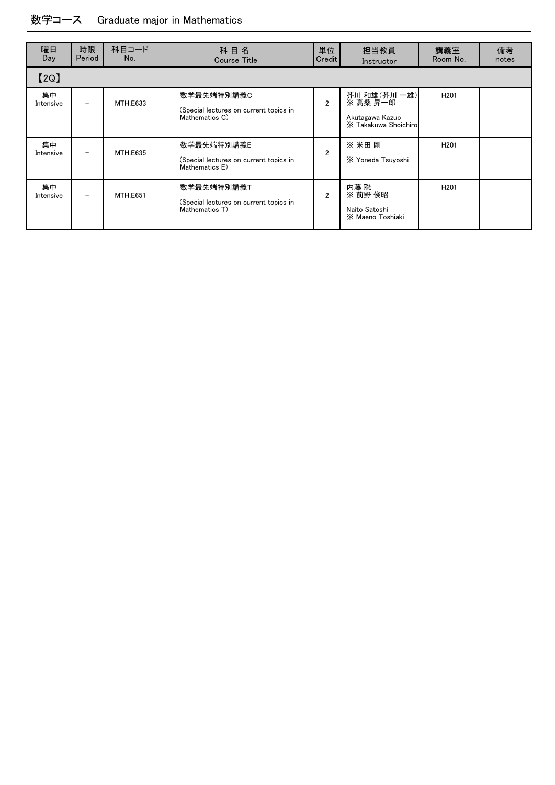### 数学コース Graduate major in Mathematics

| 曜日<br>Day       | 時限<br>Period    | 科目コード<br>No.    | 科目名<br><b>Course Title</b>                                             | 単位<br>Credit   | 担当教員<br>Instructor                                                   | 講義室<br>Room No.  | 備考<br>notes |
|-----------------|-----------------|-----------------|------------------------------------------------------------------------|----------------|----------------------------------------------------------------------|------------------|-------------|
| [2Q]            |                 |                 |                                                                        |                |                                                                      |                  |             |
| 集中<br>Intensive |                 | MTH.E633        | 数学最先端特別講義C<br>(Special lectures on current topics in<br>Mathematics C) | $\overline{2}$ | 芥川 和雄(芥川 一雄)<br>※ 高桑 昇一郎<br>Akutagawa Kazuo<br>X Takakuwa Shoichirol | H <sub>201</sub> |             |
| 集中<br>Intensive | $\qquad \qquad$ | <b>MTH.E635</b> | 数学最先端特別講義E<br>(Special lectures on current topics in<br>Mathematics E) | $\mathfrak{p}$ | ※ 米田 剛<br>X Yoneda Tsuyoshi                                          | H <sub>201</sub> |             |
| 集中<br>Intensive |                 | <b>MTH.E651</b> | 数学最先端特別講義T<br>(Special lectures on current topics in<br>Mathematics T) | $\overline{2}$ | 内藤 聡<br>$\times$ 前野 俊昭<br>Naito Satoshi<br>X Maeno Toshiaki          | H <sub>201</sub> |             |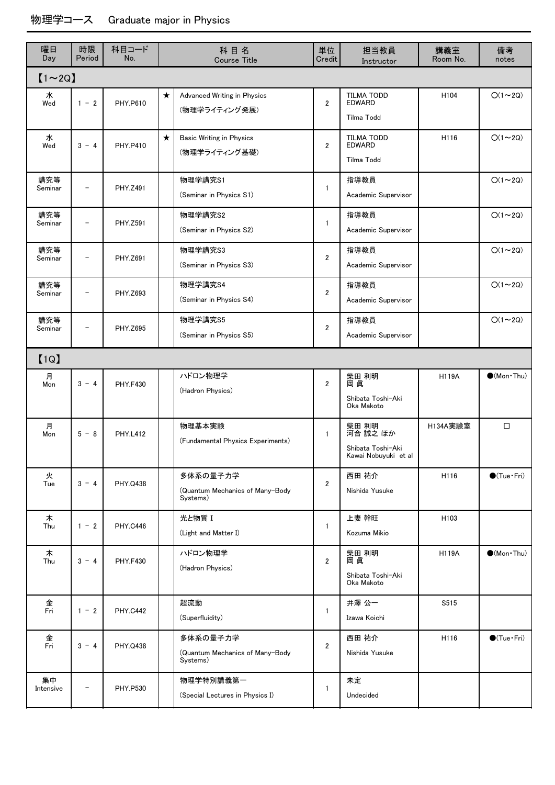| 曜日<br>Day       | 時限<br>Period             | 科目コード<br>No.    |         | 科目名<br><b>Course Title</b>                              | 単位<br>Credit   | 担当教員<br>Instructor                                             | 講義室<br>Room No. | 備考<br>notes                  |
|-----------------|--------------------------|-----------------|---------|---------------------------------------------------------|----------------|----------------------------------------------------------------|-----------------|------------------------------|
| $[1 \sim 2Q]$   |                          |                 |         |                                                         |                |                                                                |                 |                              |
| 水<br>Wed        | $1 - 2$                  | PHY.P610        | $\star$ | Advanced Writing in Physics<br>(物理学ライティング発展)            | $\overline{2}$ | <b>TILMA TODD</b><br><b>EDWARD</b><br>Tilma Todd               | H104            | $O(1\sim 2Q)$                |
| 水<br>Wed        | $3 - 4$                  | <b>PHY.P410</b> | $\star$ | <b>Basic Writing in Physics</b><br>(物理学ライティング基礎)        | $\overline{2}$ | <b>TILMA TODD</b><br><b>EDWARD</b><br>Tilma Todd               | H116            | $O(1\sim 2Q)$                |
| 講究等<br>Seminar  | $\overline{\phantom{a}}$ | PHY.Z491        |         | 物理学講究S1<br>(Seminar in Physics S1)                      | $\mathbf{1}$   | 指導教員<br>Academic Supervisor                                    |                 | $O(1\sim 2Q)$                |
| 講究等<br>Seminar  |                          | PHY.Z591        |         | 物理学講究S2<br>(Seminar in Physics S2)                      | $\mathbf{1}$   | 指導教員<br>Academic Supervisor                                    |                 | $O(1\sim 2Q)$                |
| 講究等<br>Seminar  | $\overline{\phantom{0}}$ | PHY.Z691        |         | 物理学講究S3<br>(Seminar in Physics S3)                      | $\overline{2}$ | 指導教員<br>Academic Supervisor                                    |                 | $O(1\sim 2Q)$                |
| 講究等<br>Seminar  | $\overline{\phantom{a}}$ | PHY.Z693        |         | 物理学講究S4<br>(Seminar in Physics S4)                      | $\overline{2}$ | 指導教員<br>Academic Supervisor                                    |                 | $O(1\sim 2Q)$                |
| 講究等<br>Seminar  | $\overline{\phantom{0}}$ | PHY.Z695        |         | 物理学講究S5<br>(Seminar in Physics S5)                      | $\overline{2}$ | 指導教員<br>Academic Supervisor                                    |                 | $O(1\sim 2Q)$                |
| [1Q]            |                          |                 |         |                                                         |                |                                                                |                 |                              |
| 月<br>Mon        | $3 - 4$                  | <b>PHY.F430</b> |         | ハドロン物理学<br>(Hadron Physics)                             | $\overline{2}$ | 柴田 利明<br>岡 眞<br>Shibata Toshi-Aki<br>Oka Makoto                | <b>H119A</b>    | $\bullet$ (Mon·Thu)          |
| 月<br>Mon        | $5 - 8$                  | <b>PHY.L412</b> |         | 物理基本実験<br>(Fundamental Physics Experiments)             | $\mathbf{1}$   | 柴田 利明<br>河合 誠之 ほか<br>Shibata Toshi-Aki<br>Kawai Nobuyuki et al | H134A実験室        | $\Box$                       |
| 火<br>Tue        | $3 - 4$                  | PHY.Q438        |         | 多体系の量子力学<br>(Quantum Mechanics of Many-Body<br>Systems) | $\overline{2}$ | 西田 祐介<br>Nishida Yusuke                                        | H116            | $\bigcirc$ (Tue · Fri)       |
| 木<br>Thu        | $1 - 2$                  | <b>PHY.C446</b> |         | 光と物質 I<br>(Light and Matter I)                          | $\mathbf{1}$   | 上妻 幹旺<br>Kozuma Mikio                                          | H103            |                              |
| 木<br>Thu        | $3 - 4$                  | <b>PHY.F430</b> |         | ハドロン物理学<br>(Hadron Physics)                             | $\overline{2}$ | 柴田 利明<br>岡 眞<br>Shibata Toshi-Aki<br>Oka Makoto                | <b>H119A</b>    | $\bullet$ (Mon·Thu)          |
| 金<br>Fri        | $1 - 2$                  | <b>PHY.C442</b> |         | 超流動<br>(Superfluidity)                                  | $\mathbf{1}$   | 井澤 公一<br>Izawa Koichi                                          | S515            |                              |
| 金<br>Fri        | $3 - 4$                  | PHY.Q438        |         | 多体系の量子力学<br>(Quantum Mechanics of Many-Body<br>Systems) | $\overline{2}$ | 西田 祐介<br>Nishida Yusuke                                        | H116            | $\bigcirc$ (Tue $\cdot$ Fri) |
| 集中<br>Intensive |                          | <b>PHY.P530</b> |         | 物理学特別講義第一<br>(Special Lectures in Physics I)            | 1              | 未定<br>Undecided                                                |                 |                              |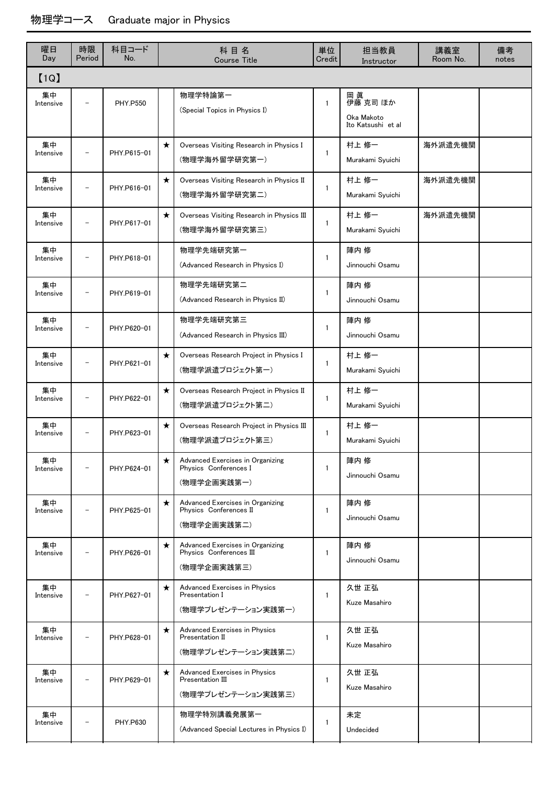| 曜日<br>Day       | 時限<br>Period             | 科目コード<br>No.    |         | 科目名<br><b>Course Title</b>                                                 | 単位<br>Credit | 担当教員<br>Instructor                                 | 講義室<br>Room No. | 備考<br>notes |
|-----------------|--------------------------|-----------------|---------|----------------------------------------------------------------------------|--------------|----------------------------------------------------|-----------------|-------------|
| [1Q]            |                          |                 |         |                                                                            |              |                                                    |                 |             |
| 集中<br>Intensive |                          | <b>PHY.P550</b> |         | 物理学特論第一<br>(Special Topics in Physics I)                                   | $\mathbf{1}$ | 岡眞<br>伊藤 克司 ほか<br>Oka Makoto<br>Ito Katsushi et al |                 |             |
| 集中<br>Intensive |                          | PHY.P615-01     | $\star$ | Overseas Visiting Research in Physics I<br>(物理学海外留学研究第一)                   | $\mathbf{1}$ | 村上 修一<br>Murakami Syuichi                          | 海外派遣先機関         |             |
| 集中<br>Intensive |                          | PHY.P616-01     | $\star$ | Overseas Visiting Research in Physics II<br>(物理学海外留学研究第二)                  | $\mathbf{1}$ | 村上 修一<br>Murakami Syuichi                          | 海外派遣先機関         |             |
| 集中<br>Intensive |                          | PHY.P617-01     | $\star$ | Overseas Visiting Research in Physics III<br>(物理学海外留学研究第三)                 | $\mathbf{1}$ | 村上 修一<br>Murakami Syuichi                          | 海外派遣先機関         |             |
| 集中<br>Intensive |                          | PHY.P618-01     |         | 物理学先端研究第一<br>(Advanced Research in Physics I)                              | $\mathbf{1}$ | 陣内 修<br>Jinnouchi Osamu                            |                 |             |
| 集中<br>Intensive |                          | PHY.P619-01     |         | 物理学先端研究第二<br>(Advanced Research in Physics II)                             | $\mathbf{1}$ | 陣内 修<br>Jinnouchi Osamu                            |                 |             |
| 集中<br>Intensive |                          | PHY.P620-01     |         | 物理学先端研究第三<br>(Advanced Research in Physics III)                            | $\mathbf{1}$ | 陣内 修<br>Jinnouchi Osamu                            |                 |             |
| 集中<br>Intensive |                          | PHY.P621-01     | $\star$ | Overseas Research Project in Physics I<br>(物理学派遣プロジェクト第一)                  | 1            | 村上 修一<br>Murakami Syuichi                          |                 |             |
| 集中<br>Intensive |                          | PHY.P622-01     | $\star$ | Overseas Research Project in Physics II<br>(物理学派遣プロジェクト第二)                 | $\mathbf{1}$ | 村上 修一<br>Murakami Syuichi                          |                 |             |
| 集中<br>Intensive |                          | PHY.P623-01     | $\star$ | Overseas Research Project in Physics III<br>(物理学派遣プロジェクト第三)                | $\mathbf{1}$ | 村上 修一<br>Murakami Syuichi                          |                 |             |
| 集中<br>Intensive | $\overline{\phantom{0}}$ | PHY.P624-01     | $\star$ | Advanced Exercises in Organizing<br>Physics Conferences I<br>(物理学企画実践第一)   | $\mathbf{1}$ | 陣内 修<br>Jinnouchi Osamu                            |                 |             |
| 集中<br>Intensive |                          | PHY.P625-01     | $\star$ | Advanced Exercises in Organizing<br>Physics Conferences II<br>(物理学企画実践第二)  | $\mathbf{1}$ | 陣内 修<br>Jinnouchi Osamu                            |                 |             |
| 集中<br>Intensive | $\overline{a}$           | PHY.P626-01     | $\star$ | Advanced Exercises in Organizing<br>Physics Conferences III<br>(物理学企画実践第三) | $\mathbf{1}$ | 陣内 修<br>Jinnouchi Osamu                            |                 |             |
| 集中<br>Intensive |                          | PHY.P627-01     | $\star$ | Advanced Exercises in Physics<br>Presentation I<br>(物理学プレゼンテーション実践第一)      | $\mathbf{1}$ | 久世 正弘<br>Kuze Masahiro                             |                 |             |
| 集中<br>Intensive |                          | PHY.P628-01     | $\star$ | Advanced Exercises in Physics<br>Presentation II<br>(物理学プレゼンテーション実践第二)     | $\mathbf{1}$ | 久世 正弘<br>Kuze Masahiro                             |                 |             |
| 集中<br>Intensive |                          | PHY.P629-01     | $\star$ | Advanced Exercises in Physics<br>Presentation III<br>(物理学プレゼンテーション実践第三)    | $\mathbf{1}$ | 久世 正弘<br>Kuze Masahiro                             |                 |             |
| 集中<br>Intensive |                          | PHY.P630        |         | 物理学特別講義発展第一<br>(Advanced Special Lectures in Physics I)                    | $\mathbf{1}$ | 未定<br>Undecided                                    |                 |             |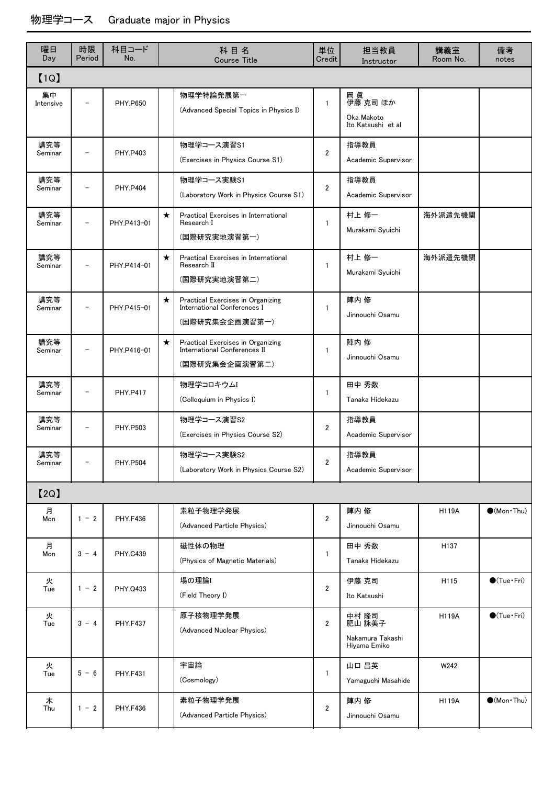| 曜日<br>Day       | 時限<br>Period             | 科目コード<br>No.    |         | 科目名<br><b>Course Title</b>                                                          | 単位<br>Credit   | 担当教員<br>Instructor                                  | 講義室<br>Room No. | 備考<br>notes                 |
|-----------------|--------------------------|-----------------|---------|-------------------------------------------------------------------------------------|----------------|-----------------------------------------------------|-----------------|-----------------------------|
| [1Q]            |                          |                 |         |                                                                                     |                |                                                     |                 |                             |
| 集中<br>Intensive | $\overline{\phantom{a}}$ | <b>PHY.P650</b> |         | 物理学特論発展第一<br>(Advanced Special Topics in Physics I)                                 | $\mathbf{1}$   | 岡 眞<br>伊藤 克司 ほか<br>Oka Makoto<br>Ito Katsushi et al |                 |                             |
| 講究等<br>Seminar  |                          | <b>PHY P403</b> |         | 物理学コース演習S1<br>(Exercises in Physics Course S1)                                      | $\overline{2}$ | 指導教員<br>Academic Supervisor                         |                 |                             |
| 講究等<br>Seminar  | $\overline{\phantom{0}}$ | <b>PHY.P404</b> |         | 物理学コース実験S1<br>(Laboratory Work in Physics Course S1)                                | $\overline{2}$ | 指導教員<br>Academic Supervisor                         |                 |                             |
| 講究等<br>Seminar  |                          | PHY.P413-01     | $\star$ | Practical Exercises in International<br>Research I<br>(国際研究実地演習第一)                  | $\mathbf{1}$   | 村上 修一<br>Murakami Syuichi                           | 海外派遣先機関         |                             |
| 講究等<br>Seminar  | $\overline{\phantom{0}}$ | PHY.P414-01     | $\star$ | Practical Exercises in International<br>Research II<br>(国際研究実地演習第二)                 | $\mathbf{1}$   | 村上 修一<br>Murakami Syuichi                           | 海外派遣先機関         |                             |
| 講究等<br>Seminar  |                          | PHY.P415-01     | $\star$ | Practical Exercises in Organizing<br>International Conferences I<br>(国際研究集会企画演習第一)  | 1              | 陣内 修<br>Jinnouchi Osamu                             |                 |                             |
| 講究等<br>Seminar  | $\overline{\phantom{0}}$ | PHY.P416-01     | $\star$ | Practical Exercises in Organizing<br>International Conferences II<br>(国際研究集会企画演習第二) | $\mathbf{1}$   | 陣内 修<br>Jinnouchi Osamu                             |                 |                             |
| 講究等<br>Seminar  |                          | <b>PHY.P417</b> |         | 物理学コロキウムI<br>(Colloquium in Physics I)                                              | $\mathbf{1}$   | 田中 秀数<br>Tanaka Hidekazu                            |                 |                             |
| 講究等<br>Seminar  |                          | PHY.P503        |         | 物理学コース演習S2<br>(Exercises in Physics Course S2)                                      | $\overline{2}$ | 指導教員<br>Academic Supervisor                         |                 |                             |
| 講究等<br>Seminar  |                          | <b>PHY.P504</b> |         | 物理学コース実験S2<br>(Laboratory Work in Physics Course S2)                                | $\overline{2}$ | 指導教員<br>Academic Supervisor                         |                 |                             |
| [2Q]            |                          |                 |         |                                                                                     |                |                                                     |                 |                             |
| 月<br>Mon        | $1 - 2$                  | <b>PHY.F436</b> |         | 素粒子物理学発展<br>(Advanced Particle Physics)                                             | $\overline{2}$ | 陣内 修<br>Jinnouchi Osamu                             | <b>H119A</b>    | $\bullet$ (Mon $\cdot$ Thu) |
| 月<br>Mon        | $3 - 4$                  | <b>PHY.C439</b> |         | 磁性体の物理<br>(Physics of Magnetic Materials)                                           | $\mathbf{1}$   | 田中 秀数<br>Tanaka Hidekazu                            | H137            |                             |
| 火<br>Tue        | $1 - 2$                  | PHY.Q433        |         | 場の理論I<br>(Field Theory I)                                                           | $\overline{2}$ | 伊藤 克司<br>Ito Katsushi                               | H115            | $\bigcirc$ (Tue · Fri)      |
| 火<br>Tue        | $3 - 4$                  | <b>PHY.F437</b> |         | 原子核物理学発展<br>(Advanced Nuclear Physics)                                              | $\overline{2}$ | 中村 隆司<br>肥山 詠美子<br>Nakamura Takashi<br>Hiyama Emiko | <b>H119A</b>    | $\bigcirc$ (Tue · Fri)      |
| 火<br>Tue        | $5 - 6$                  | <b>PHY.F431</b> |         | 宇宙論<br>(Cosmology)                                                                  | $\mathbf{1}$   | 山口 昌英<br>Yamaguchi Masahide                         | W242            |                             |
| 木<br>Thu        | $1 - 2$                  | <b>PHY.F436</b> |         | 素粒子物理学発展<br>(Advanced Particle Physics)                                             | $\overline{2}$ | 陣内 修<br>Jinnouchi Osamu                             | <b>H119A</b>    | $\bullet$ (Mon $\cdot$ Thu) |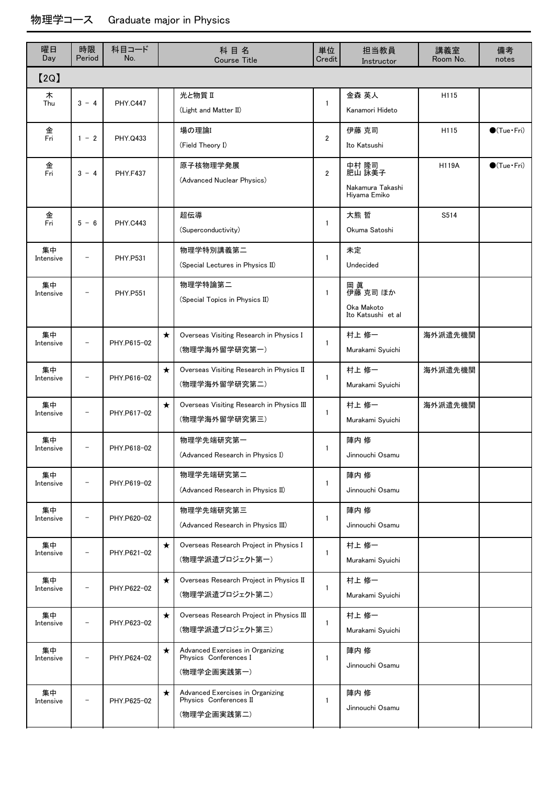| 曜日<br>Day       | 時限<br>Period             | 科目コード<br>No.    |         | 科目名<br>Course Title                                                       | 単位<br>Credit   | 担当教員<br>Instructor                                  | 講義室<br>Room No. | 備考<br>notes            |
|-----------------|--------------------------|-----------------|---------|---------------------------------------------------------------------------|----------------|-----------------------------------------------------|-----------------|------------------------|
| [2Q]            |                          |                 |         |                                                                           |                |                                                     |                 |                        |
| ᄎ<br>Thu        | $3 - 4$                  | <b>PHY.C447</b> |         | 光と物質 Ⅱ<br>(Light and Matter II)                                           | $\mathbf{1}$   | 金森 英人<br>Kanamori Hideto                            | H115            |                        |
| 金<br>Fri        | $1 - 2$                  | PHY.Q433        |         | 場の理論I<br>(Field Theory I)                                                 | $\overline{2}$ | 伊藤 克司<br>Ito Katsushi                               | H115            | $\bigcirc$ (Tue · Fri) |
| 金<br>Fri        | $3 - 4$                  | <b>PHY.F437</b> |         | 原子核物理学発展<br>(Advanced Nuclear Physics)                                    | $\overline{2}$ | 中村 隆司<br>肥山 詠美子<br>Nakamura Takashi<br>Hiyama Emiko | <b>H119A</b>    | $\bullet$ (Tue · Fri)  |
| 金<br>Fri        | $5 - 6$                  | <b>PHY.C443</b> |         | 超伝導<br>(Superconductivity)                                                | $\mathbf{1}$   | 大熊 哲<br>Okuma Satoshi                               | S514            |                        |
| 集中<br>Intensive |                          | PHY.P531        |         | 物理学特別講義第二<br>(Special Lectures in Physics II)                             | 1              | 未定<br>Undecided                                     |                 |                        |
| 集中<br>Intensive |                          | <b>PHY.P551</b> |         | 物理学特論第二<br>(Special Topics in Physics II)                                 | 1              | 岡 眞<br>伊藤 克司 ほか<br>Oka Makoto<br>Ito Katsushi et al |                 |                        |
| 集中<br>Intensive |                          | PHY.P615-02     | $\star$ | Overseas Visiting Research in Physics I<br>(物理学海外留学研究第一)                  | 1              | 村上 修一<br>Murakami Syuichi                           | 海外派遣先機関         |                        |
| 集中<br>Intensive | $\qquad \qquad$          | PHY.P616-02     | $\star$ | Overseas Visiting Research in Physics II<br>(物理学海外留学研究第二)                 | $\mathbf{1}$   | 村上 修一<br>Murakami Syuichi                           | 海外派遣先機関         |                        |
| 集中<br>Intensive | $\qquad \qquad -$        | PHY.P617-02     | $\star$ | Overseas Visiting Research in Physics III<br>(物理学海外留学研究第三)                | $\mathbf{1}$   | 村上 修一<br>Murakami Syuichi                           | 海外派遣先機関         |                        |
| 集中<br>Intensive |                          | PHY.P618-02     |         | 物理学先端研究第一<br>(Advanced Research in Physics I)                             | 1              | 陣内 修<br>Jinnouchi Osamu                             |                 |                        |
| 集中<br>Intensive |                          | PHY.P619-02     |         | 物理学先端研究第二<br>(Advanced Research in Physics II)                            | 1              | 陣内修<br>Jinnouchi Osamu                              |                 |                        |
| 集中<br>Intensive | $\qquad \qquad$          | PHY.P620-02     |         | 物理学先端研究第三<br>(Advanced Research in Physics III)                           | 1              | 陣内 修<br>Jinnouchi Osamu                             |                 |                        |
| 集中<br>Intensive | $\qquad \qquad -$        | PHY.P621-02     | $\star$ | Overseas Research Project in Physics I<br>(物理学派遣プロジェクト第一)                 | 1              | 村上 修一<br>Murakami Syuichi                           |                 |                        |
| 集中<br>Intensive | $\overline{a}$           | PHY.P622-02     | $\star$ | Overseas Research Project in Physics II<br>(物理学派遣プロジェクト第二)                | $\mathbf{1}$   | 村上 修一<br>Murakami Syuichi                           |                 |                        |
| 集中<br>Intensive | $\overline{\phantom{a}}$ | PHY.P623-02     | $\star$ | Overseas Research Project in Physics III<br>(物理学派遣プロジェクト第三)               | 1              | 村上 修一<br>Murakami Syuichi                           |                 |                        |
| 集中<br>Intensive | $\overline{\phantom{0}}$ | PHY.P624-02     | $\star$ | Advanced Exercises in Organizing<br>Physics Conferences I<br>(物理学企画実践第一)  | 1              | 陣内 修<br>Jinnouchi Osamu                             |                 |                        |
| 集中<br>Intensive |                          | PHY.P625-02     | $\star$ | Advanced Exercises in Organizing<br>Physics Conferences II<br>(物理学企画実践第二) | 1              | 陣内 修<br>Jinnouchi Osamu                             |                 |                        |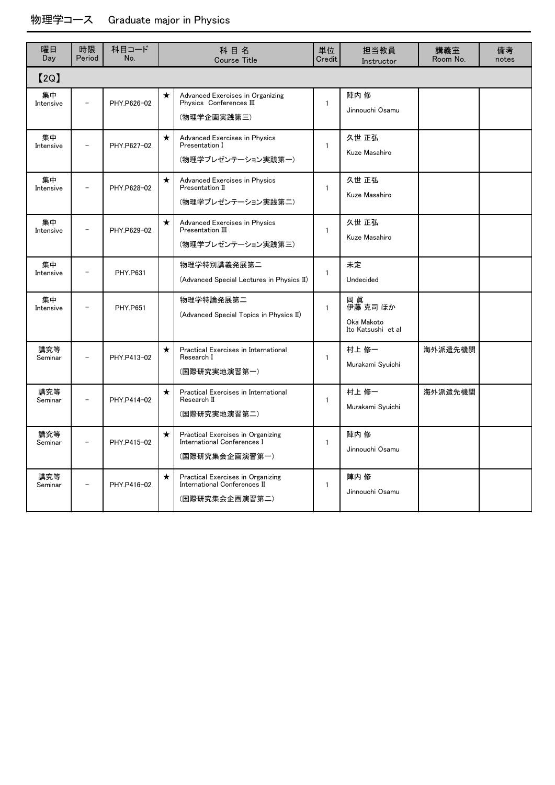| 曜日<br>Day       | 時限<br>Period | 科目コード<br>No.    |         | 科目名<br><b>Course Title</b>                                                                | 単位<br>Credit | 担当教員<br>Instructor                                 | 講義室<br>Room No. | 備考<br>notes |
|-----------------|--------------|-----------------|---------|-------------------------------------------------------------------------------------------|--------------|----------------------------------------------------|-----------------|-------------|
| [2Q]            |              |                 |         |                                                                                           |              |                                                    |                 |             |
| 集中<br>Intensive |              | PHY.P626-02     | $\star$ | Advanced Exercises in Organizing<br>Physics Conferences III<br>(物理学企画実践第三)                | $\mathbf{1}$ | 陣内 修<br>Jinnouchi Osamu                            |                 |             |
| 集中<br>Intensive |              | PHY.P627-02     | $\star$ | Advanced Exercises in Physics<br>Presentation I<br>(物理学プレゼンテーション実践第一)                     | $\mathbf{1}$ | 久世 正弘<br>Kuze Masahiro                             |                 |             |
| 集中<br>Intensive |              | PHY.P628-02     | $\star$ | Advanced Exercises in Physics<br>Presentation II<br>(物理学プレゼンテーション実践第二)                    | $\mathbf{1}$ | 久世 正弘<br>Kuze Masahiro                             |                 |             |
| 集中<br>Intensive |              | PHY.P629-02     | $\star$ | Advanced Exercises in Physics<br>Presentation III<br>(物理学プレゼンテーション実践第三)                   | $\mathbf{1}$ | 久世 正弘<br>Kuze Masahiro                             |                 |             |
| 集中<br>Intensive |              | <b>PHY P631</b> |         | 物理学特別講義発展第二<br>(Advanced Special Lectures in Physics II)                                  | $\mathbf{1}$ | 未定<br>Undecided                                    |                 |             |
| 集中<br>Intensive |              | <b>PHY.P651</b> |         | 物理学特論発展第二<br>(Advanced Special Topics in Physics II)                                      | $\mathbf{1}$ | 岡眞<br>伊藤 克司 ほか<br>Oka Makoto<br>Ito Katsushi et al |                 |             |
| 講究等<br>Seminar  |              | PHY.P413-02     | $\star$ | Practical Exercises in International<br>Research I<br>(国際研究実地演習第一)                        | 1            | 村上 修一<br>Murakami Syuichi                          | 海外派遣先機関         |             |
| 講究等<br>Seminar  |              | PHY.P414-02     | $\star$ | Practical Exercises in International<br>Research II<br>(国際研究実地演習第二)                       | $\mathbf{1}$ | 村上 修一<br>Murakami Syuichi                          | 海外派遣先機関         |             |
| 講究等<br>Seminar  |              | PHY.P415-02     | $\star$ | Practical Exercises in Organizing<br><b>International Conferences I</b><br>(国際研究集会企画演習第一) | $\mathbf{1}$ | 陣内 修<br>Jinnouchi Osamu                            |                 |             |
| 講究等<br>Seminar  |              | PHY.P416-02     | $\star$ | Practical Exercises in Organizing<br>International Conferences II<br>(国際研究集会企画演習第二)       | $\mathbf{1}$ | 陣内修<br>Jinnouchi Osamu                             |                 |             |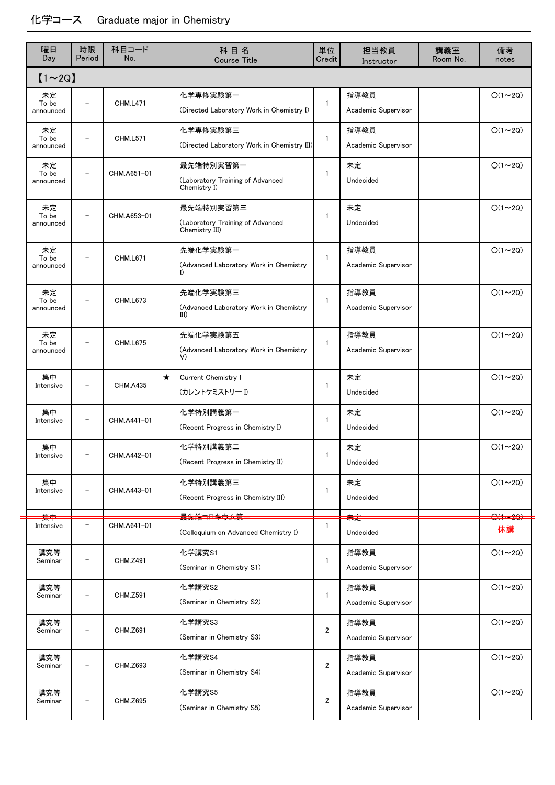### 化学コース Graduate major in Chemistry

| 曜日<br>Day                | 時限<br>Period      | 科目コード<br>No.    | 科目名<br><b>Course Title</b>                                      | 単位<br>Credit   | 担当教員<br>Instructor          | 講義室<br>Room No. | 備考<br>notes              |
|--------------------------|-------------------|-----------------|-----------------------------------------------------------------|----------------|-----------------------------|-----------------|--------------------------|
| $[1 \sim 2Q]$            |                   |                 |                                                                 |                |                             |                 |                          |
| 未定<br>To be<br>announced | $\qquad \qquad -$ | <b>CHM.L471</b> | 化学専修実験第一<br>(Directed Laboratory Work in Chemistry I)           | $\mathbf{1}$   | 指導教員<br>Academic Supervisor |                 | $O(1\sim 2Q)$            |
| 未定<br>To be<br>announced |                   | <b>CHM.L571</b> | 化学専修実験第三<br>(Directed Laboratory Work in Chemistry III)         | $\mathbf{1}$   | 指導教員<br>Academic Supervisor |                 | $O(1\sim 2Q)$            |
| 未定<br>To be<br>announced |                   | CHM.A651-01     | 最先端特別実習第一<br>(Laboratory Training of Advanced<br>Chemistry I)   | $\mathbf{1}$   | 未定<br>Undecided             |                 | $O(1\sim 2Q)$            |
| 未定<br>To be<br>announced |                   | CHM.A653-01     | 最先端特別実習第三<br>(Laboratory Training of Advanced<br>Chemistry III) | $\mathbf{1}$   | 未定<br>Undecided             |                 | $O(1\sim 2Q)$            |
| 未定<br>To be<br>announced |                   | CHM.L671        | 先端化学実験第一<br>(Advanced Laboratory Work in Chemistry<br>I         | 1              | 指導教員<br>Academic Supervisor |                 | $O(1\sim 2Q)$            |
| 未定<br>To be<br>announced |                   | <b>CHM.L673</b> | 先端化学実験第三<br>(Advanced Laboratory Work in Chemistry<br>III)      | $\mathbf{1}$   | 指導教員<br>Academic Supervisor |                 | $O(1\sim 2Q)$            |
| 未定<br>To be<br>announced |                   | <b>CHM.L675</b> | 先端化学実験第五<br>(Advanced Laboratory Work in Chemistry<br>V)        | 1              | 指導教員<br>Academic Supervisor |                 | $O(1\sim 2Q)$            |
| 集中<br>Intensive          |                   | <b>CHM.A435</b> | $\star$<br>Current Chemistry I<br>(カレントケミストリー I)                | 1              | 未定<br>Undecided             |                 | $O(1\sim 2Q)$            |
| 集中<br>Intensive          |                   | CHM.A441-01     | 化学特別講義第一<br>(Recent Progress in Chemistry I)                    | 1              | 未定<br>Undecided             |                 | $O(1\sim 2Q)$            |
| 集中<br>Intensive          |                   | CHM.A442-01     | 化学特別講義第二<br>(Recent Progress in Chemistry II)                   | 1              | 未定<br>Undecided             |                 | $O(1\sim 2Q)$            |
| 集中<br>Intensive          | $\overline{a}$    | CHM.A443-01     | 化学特別講義第三<br>(Recent Progress in Chemistry III)                  | 1              | 未定<br>Undecided             |                 | $O(1\sim 2Q)$            |
| 集中<br>Intensive          |                   | CHM.A641-01     | 最先端⊒ロキウム第<br>(Colloquium on Advanced Chemistry I)               | $\mathbf{1}$   | 未走<br>Undecided             |                 | <del>O(1=2Q)</del><br>休講 |
| 講究等<br>Seminar           |                   | <b>CHM.Z491</b> | 化学講究S1<br>(Seminar in Chemistry S1)                             | 1              | 指導教員<br>Academic Supervisor |                 | $O(1\sim 2Q)$            |
| 講究等<br>Seminar           | -                 | <b>CHM.Z591</b> | 化学講究S2<br>(Seminar in Chemistry S2)                             | $\mathbf{1}$   | 指導教員<br>Academic Supervisor |                 | $O(1\sim 2Q)$            |
| 講究等<br>Seminar           | -                 | CHM.Z691        | 化学講究S3<br>(Seminar in Chemistry S3)                             | $\overline{2}$ | 指導教員<br>Academic Supervisor |                 | $O(1\sim 2Q)$            |
| 講究等<br>Seminar           | $\overline{a}$    | CHM.Z693        | 化学講究S4<br>(Seminar in Chemistry S4)                             | $\overline{2}$ | 指導教員<br>Academic Supervisor |                 | $O(1\sim 2Q)$            |
| 講究等<br>Seminar           | -                 | CHM.Z695        | 化学講究S5<br>(Seminar in Chemistry S5)                             | $\overline{2}$ | 指導教員<br>Academic Supervisor |                 | $O(1\sim 2Q)$            |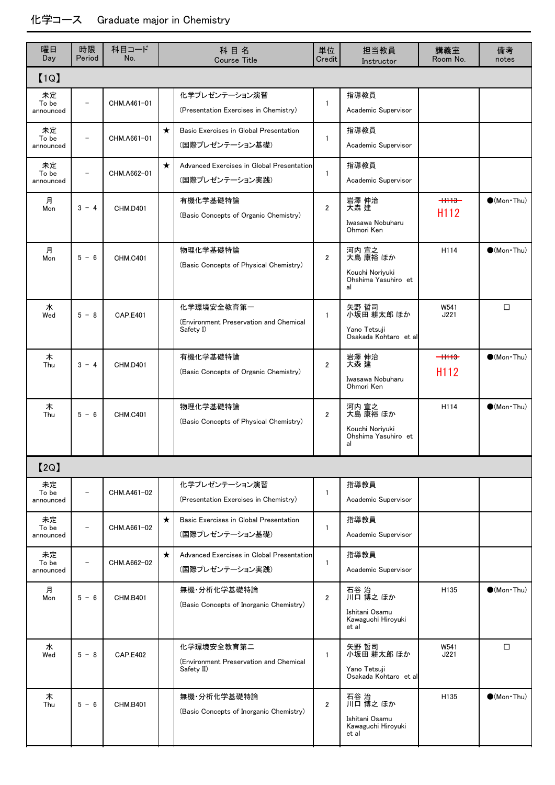### 化学コース Graduate major in Chemistry

| 曜日<br>Day                | 時限<br>Period             | 科目コード<br>No.    |         | 科目名<br><b>Course Title</b>                                         | 単位<br>Credit   | 担当教員<br>Instructor                                                | 講義室<br>Room No.              | 備考<br>notes                 |
|--------------------------|--------------------------|-----------------|---------|--------------------------------------------------------------------|----------------|-------------------------------------------------------------------|------------------------------|-----------------------------|
| [1Q]                     |                          |                 |         |                                                                    |                |                                                                   |                              |                             |
| 未定<br>To be<br>announced | $\overline{\phantom{a}}$ | CHM.A461-01     |         | 化学プレゼンテーション演習<br>(Presentation Exercises in Chemistry)             | $\mathbf{1}$   | 指導教員<br>Academic Supervisor                                       |                              |                             |
| 未定<br>To be<br>announced | $\overline{\phantom{a}}$ | CHM.A661-01     | $\star$ | Basic Exercises in Global Presentation<br>(国際プレゼンテーション基礎)          | $\mathbf{1}$   | 指導教員<br>Academic Supervisor                                       |                              |                             |
| 未定<br>To be<br>announced |                          | CHM.A662-01     | $\star$ | Advanced Exercises in Global Presentation<br>(国際プレゼンテーション実践)       | 1              | 指導教員<br>Academic Supervisor                                       |                              |                             |
| 月<br>Mon                 | $3 - 4$                  | <b>CHM.D401</b> |         | 有機化学基礎特論<br>(Basic Concepts of Organic Chemistry)                  | $\overline{2}$ | 岩澤 伸治<br>大森 建<br>Iwasawa Nobuharu<br>Ohmori Ken                   | $+1113-$<br>H <sub>112</sub> | $\bullet$ (Mon $\cdot$ Thu) |
| 月<br>Mon                 | $5 - 6$                  | <b>CHM.C401</b> |         | 物理化学基礎特論<br>(Basic Concepts of Physical Chemistry)                 | $\overline{2}$ | 河内 宣之<br>大島 康裕 ほか<br>Kouchi Noriyuki<br>Ohshima Yasuhiro et<br>al | H114                         | $\bullet$ (Mon $\cdot$ Thu) |
| 水<br>Wed                 | $5 - 8$                  | <b>CAP.E401</b> |         | 化学環境安全教育第一<br>(Environment Preservation and Chemical<br>Safety I)  | $\mathbf{1}$   | 矢野 哲司<br>小坂田 耕太郎 ほか<br>Yano Tetsuji<br>Osakada Kohtaro et al      | W541<br>J221                 | $\Box$                      |
| 木<br>Thu                 | $3 - 4$                  | <b>CHM.D401</b> |         | 有機化学基礎特論<br>(Basic Concepts of Organic Chemistry)                  | $\overline{2}$ | 岩澤 伸治<br>大森 建<br>Iwasawa Nobuharu<br>Ohmori Ken                   | $+1113$<br>H <sub>112</sub>  | $\bullet$ (Mon $\cdot$ Thu) |
| 木<br>Thu                 | $5 - 6$                  | <b>CHM.C401</b> |         | 物理化学基礎特論<br>(Basic Concepts of Physical Chemistry)                 | $\overline{2}$ | 河内 宣之<br>大島 康裕 ほか<br>Kouchi Noriyuki<br>Ohshima Yasuhiro et<br>al | H114                         | $\bullet$ (Mon $\cdot$ Thu) |
| [2Q]                     |                          |                 |         |                                                                    |                |                                                                   |                              |                             |
| 未定<br>To be<br>announced | $\overline{\phantom{0}}$ | CHM.A461-02     |         | 化学プレゼンテーション演習<br>(Presentation Exercises in Chemistry)             | $\mathbf{1}$   | 指導教員<br>Academic Supervisor                                       |                              |                             |
| 未定<br>To be<br>announced | $\overline{a}$           | CHM.A661-02     | $\star$ | Basic Exercises in Global Presentation<br>(国際プレゼンテーション基礎)          | 1              | 指導教員<br>Academic Supervisor                                       |                              |                             |
| 未定<br>To be<br>announced | $\overline{\phantom{a}}$ | CHM.A662-02     | $\star$ | Advanced Exercises in Global Presentation<br>(国際プレゼンテーション実践)       | $\mathbf{1}$   | 指導教員<br>Academic Supervisor                                       |                              |                             |
| 月<br>Mon                 | $5 - 6$                  | <b>CHM.B401</b> |         | 無機 分析化学基礎特論<br>(Basic Concepts of Inorganic Chemistry)             | $\overline{2}$ | 石谷 治<br>川口 博之 ほか<br>Ishitani Osamu<br>Kawaguchi Hiroyuki<br>et al | H135                         | $\bigcirc$ (Mon Thu)        |
| 水<br>Wed                 | $5 - 8$                  | <b>CAP.E402</b> |         | 化学環境安全教育第二<br>(Environment Preservation and Chemical<br>Safety II) | $\mathbf{1}$   | 矢野 哲司<br>小坂田 耕太郎 ほか<br>Yano Tetsuji<br>Osakada Kohtaro et al      | W541<br>J221                 | □                           |
| 木<br>Thu                 | $5 - 6$                  | <b>CHM.B401</b> |         | 無機 分析化学基礎特論<br>(Basic Concepts of Inorganic Chemistry)             | $\overline{2}$ | 石谷 治<br>川口 博之 ほか<br>Ishitani Osamu<br>Kawaguchi Hiroyuki<br>et al | H135                         | $\bigcirc$ (Mon Thu)        |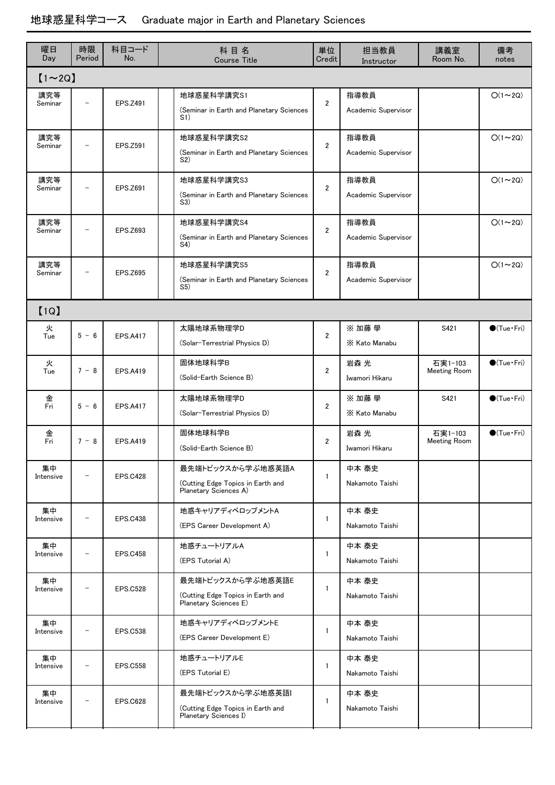# 地球惑星科学コース Graduate major in Earth and Planetary Sciences

| 曜日<br>Day       | 時限<br>Period             | 科目コード<br>No.    | 科目名<br><b>Course Title</b>                                                      | 単位<br>Credit   | 担当教員<br>Instructor          | 講義室<br>Room No.                | 備考<br>notes            |
|-----------------|--------------------------|-----------------|---------------------------------------------------------------------------------|----------------|-----------------------------|--------------------------------|------------------------|
| $[1 \sim 2Q]$   |                          |                 |                                                                                 |                |                             |                                |                        |
| 講究等<br>Seminar  |                          | EPS.Z491        | 地球惑星科学講究S1<br>(Seminar in Earth and Planetary Sciences<br>S <sub>1</sub> )      | $\overline{2}$ | 指導教員<br>Academic Supervisor |                                | $O(1\sim 2Q)$          |
| 講究等<br>Seminar  |                          | EPS.Z591        | 地球惑星科学講究S2<br>(Seminar in Earth and Planetary Sciences<br>S <sub>2</sub>        | $\overline{2}$ | 指導教員<br>Academic Supervisor |                                | $O(1\sim 2Q)$          |
| 講究等<br>Seminar  | $\overline{\phantom{0}}$ | <b>EPS.Z691</b> | 地球惑星科学講究S3<br>(Seminar in Earth and Planetary Sciences<br>S3)                   | $\overline{2}$ | 指導教員<br>Academic Supervisor |                                | $O(1\sim 2Q)$          |
| 講究等<br>Seminar  |                          | EPS.Z693        | 地球惑星科学講究S4<br>(Seminar in Earth and Planetary Sciences<br>S4)                   | $\overline{2}$ | 指導教員<br>Academic Supervisor |                                | $O(1\sim 2Q)$          |
| 講究等<br>Seminar  | $\overline{\phantom{0}}$ | <b>EPS.Z695</b> | 地球惑星科学講究S5<br>(Seminar in Earth and Planetary Sciences<br>S5)                   | $\overline{2}$ | 指導教員<br>Academic Supervisor |                                | $O(1\sim 2Q)$          |
| [1Q]            |                          |                 |                                                                                 |                |                             |                                |                        |
| 火<br>Tue        | $5 - 6$                  | <b>EPS.A417</b> | 太陽地球系物理学D<br>(Solar-Terrestrial Physics D)                                      | $\overline{2}$ | ※ 加藤 學<br>X Kato Manabu     | S421                           | $\bigcirc$ (Tue·Fri)   |
| 火<br>Tue        | $7 - 8$                  | <b>EPS.A419</b> | 固体地球科学B<br>(Solid-Earth Science B)                                              | $\overline{2}$ | 岩森 光<br>Iwamori Hikaru      | 石実1-103<br><b>Meeting Room</b> | $\bigcirc$ (Tue·Fri)   |
| 金<br>Fri        | $5 - 6$                  | <b>EPS.A417</b> | 太陽地球系物理学D<br>(Solar-Terrestrial Physics D)                                      | $\overline{2}$ | ※加藤學<br>X Kato Manabu       | S421                           | $\bigcirc$ (Tue·Fri)   |
| 金<br>Fri        | $7 - 8$                  | <b>EPS.A419</b> | 固体地球科学B<br>(Solid-Earth Science B)                                              | $\overline{2}$ | 岩森 光<br>Iwamori Hikaru      | 石実1-103<br><b>Meeting Room</b> | $\bigcirc$ (Tue · Fri) |
| 集中<br>Intensive |                          | <b>EPS.C428</b> | 最先端トピックスから学ぶ地惑英語A<br>(Cutting Edge Topics in Earth and<br>Planetary Sciences A) | $\mathbf{1}$   | 中本 泰史<br>Nakamoto Taishi    |                                |                        |
| 集中<br>Intensive |                          | <b>EPS.C438</b> | 地惑キャリアディベロップメントA<br>(EPS Career Development A)                                  | 1              | 中本 泰史<br>Nakamoto Taishi    |                                |                        |
| 集中<br>Intensive |                          | <b>EPS.C458</b> | 地惑チュートリアルA<br>(EPS Tutorial A)                                                  | 1              | 中本 泰史<br>Nakamoto Taishi    |                                |                        |
| 集中<br>Intensive |                          | <b>EPS.C528</b> | 最先端トピックスから学ぶ地惑英語E<br>(Cutting Edge Topics in Earth and<br>Planetary Sciences E) | $\mathbf{1}$   | 中本 泰史<br>Nakamoto Taishi    |                                |                        |
| 集中<br>Intensive |                          | <b>EPS.C538</b> | 地惑キャリアディベロップメントE<br>(EPS Career Development E)                                  | $\mathbf{1}$   | 中本 泰史<br>Nakamoto Taishi    |                                |                        |
| 集中<br>Intensive |                          | <b>EPS.C558</b> | 地惑チュートリアルE<br>(EPS Tutorial E)                                                  | $\mathbf{1}$   | 中本 泰史<br>Nakamoto Taishi    |                                |                        |
| 集中<br>Intensive |                          | <b>EPS.C628</b> | 最先端トピックスから学ぶ地惑英語<br>(Cutting Edge Topics in Earth and<br>Planetary Sciences I)  | 1              | 中本 泰史<br>Nakamoto Taishi    |                                |                        |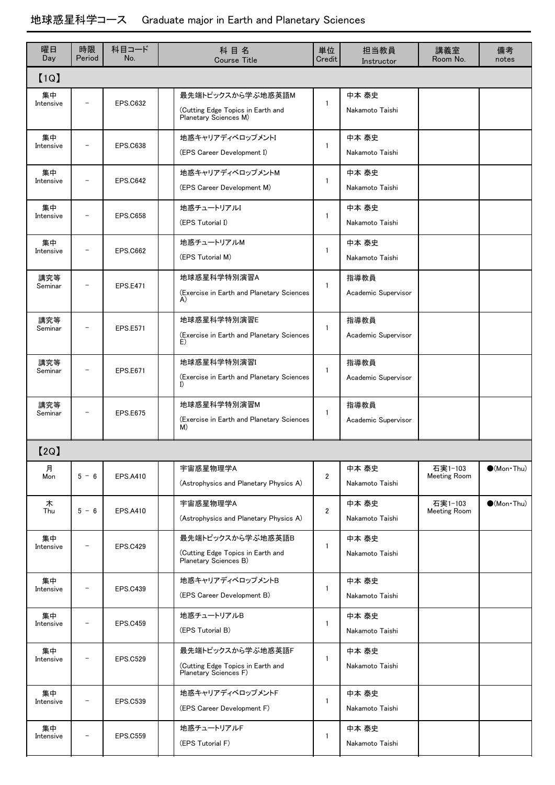# 地球惑星科学コース Graduate major in Earth and Planetary Sciences

| 曜日<br>Day       | 時限<br>Period             | 科目コード<br>No.    | 科目名<br><b>Course Title</b>                                                      | 単位<br>Credit   | 担当教員<br>Instructor          | 講義室<br>Room No.                | 備考<br>notes         |  |  |  |  |
|-----------------|--------------------------|-----------------|---------------------------------------------------------------------------------|----------------|-----------------------------|--------------------------------|---------------------|--|--|--|--|
| [1Q]            |                          |                 |                                                                                 |                |                             |                                |                     |  |  |  |  |
| 集中<br>Intensive | $\overline{\phantom{0}}$ | <b>EPS.C632</b> | 最先端トピックスから学ぶ地惑英語M<br>(Cutting Edge Topics in Earth and<br>Planetary Sciences M) | 1              | 中本 泰史<br>Nakamoto Taishi    |                                |                     |  |  |  |  |
| 集中<br>Intensive | $\overline{\phantom{0}}$ | <b>EPS.C638</b> | 地惑キャリアディベロップメントI<br>(EPS Career Development I)                                  | 1              | 中本 泰史<br>Nakamoto Taishi    |                                |                     |  |  |  |  |
| 集中<br>Intensive | $\qquad \qquad -$        | <b>EPS.C642</b> | 地惑キャリアディベロップメントM<br>(EPS Career Development M)                                  | 1              | 中本 泰史<br>Nakamoto Taishi    |                                |                     |  |  |  |  |
| 集中<br>Intensive | $\overline{\phantom{0}}$ | <b>EPS.C658</b> | 地惑チュートリアルI<br>(EPS Tutorial I)                                                  | 1              | 中本 泰史<br>Nakamoto Taishi    |                                |                     |  |  |  |  |
| 集中<br>Intensive |                          | <b>EPS.C662</b> | 地惑チュートリアルM<br>(EPS Tutorial M)                                                  | $\mathbf{1}$   | 中本 泰史<br>Nakamoto Taishi    |                                |                     |  |  |  |  |
| 講究等<br>Seminar  |                          | <b>EPS.E471</b> | 地球惑星科学特別演習A<br>(Exercise in Earth and Planetary Sciences<br>A)                  | $\mathbf{1}$   | 指導教員<br>Academic Supervisor |                                |                     |  |  |  |  |
| 講究等<br>Seminar  | $\overline{\phantom{0}}$ | <b>EPS.E571</b> | 地球惑星科学特別演習E<br>(Exercise in Earth and Planetary Sciences<br>E)                  | 1              | 指導教員<br>Academic Supervisor |                                |                     |  |  |  |  |
| 講究等<br>Seminar  | $\overline{\phantom{m}}$ | <b>EPS.E671</b> | 地球惑星科学特別演習I<br>(Exercise in Earth and Planetary Sciences<br>I                   | 1              | 指導教員<br>Academic Supervisor |                                |                     |  |  |  |  |
| 講究等<br>Seminar  | $\overline{\phantom{0}}$ | <b>EPS.E675</b> | 地球惑星科学特別演習M<br>(Exercise in Earth and Planetary Sciences<br>M)                  | 1              | 指導教員<br>Academic Supervisor |                                |                     |  |  |  |  |
| 【2Q】            |                          |                 |                                                                                 |                |                             |                                |                     |  |  |  |  |
| 月<br>Mon        | $5 - 6$                  | <b>EPS.A410</b> | 宇宙惑星物理学A<br>(Astrophysics and Planetary Physics A)                              | $\overline{2}$ | 中本 泰史<br>Nakamoto Taishi    | 石実1-103<br><b>Meeting Room</b> | $\bullet$ (Mon Thu) |  |  |  |  |
| 木<br>Thu        | $5 - 6$                  | <b>EPS.A410</b> | 宇宙惑星物理学A<br>(Astrophysics and Planetary Physics A)                              | $\overline{2}$ | 中本 泰史<br>Nakamoto Taishi    | 石実1-103<br><b>Meeting Room</b> | $\bullet$ (Mon Thu) |  |  |  |  |
| 集中<br>Intensive |                          | <b>EPS.C429</b> | 最先端トピックスから学ぶ地惑英語B<br>(Cutting Edge Topics in Earth and<br>Planetary Sciences B) | 1              | 中本 泰史<br>Nakamoto Taishi    |                                |                     |  |  |  |  |
| 集中<br>Intensive | $\qquad \qquad -$        | <b>EPS.C439</b> | 地惑キャリアディベロップメントB<br>(EPS Career Development B)                                  | $\mathbf{1}$   | 中本 泰史<br>Nakamoto Taishi    |                                |                     |  |  |  |  |
| 集中<br>Intensive | $\qquad \qquad -$        | <b>EPS.C459</b> | 地惑チュートリアルB<br>(EPS Tutorial B)                                                  | 1              | 中本 泰史<br>Nakamoto Taishi    |                                |                     |  |  |  |  |
| 集中<br>Intensive |                          | <b>EPS.C529</b> | 最先端トピックスから学ぶ地惑英語F<br>(Cutting Edge Topics in Earth and<br>Planetary Sciences F) | 1              | 中本 泰史<br>Nakamoto Taishi    |                                |                     |  |  |  |  |
| 集中<br>Intensive | $\qquad \qquad -$        | <b>EPS.C539</b> | 地惑キャリアディベロップメントF<br>(EPS Career Development F)                                  | 1              | 中本 泰史<br>Nakamoto Taishi    |                                |                     |  |  |  |  |
| 集中<br>Intensive | $\overline{\phantom{0}}$ | <b>EPS.C559</b> | 地惑チュートリアルF<br>(EPS Tutorial F)                                                  | 1              | 中本 泰史<br>Nakamoto Taishi    |                                |                     |  |  |  |  |